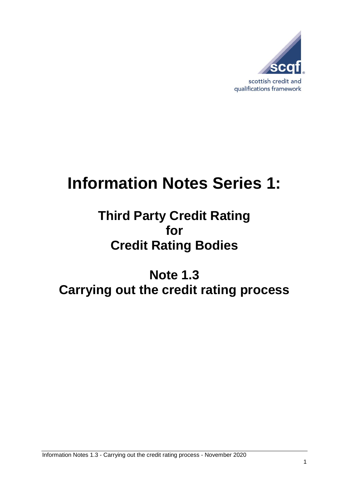

# **Information Notes Series 1:**

### **Third Party Credit Rating for Credit Rating Bodies**

## **Note 1.3 Carrying out the credit rating process**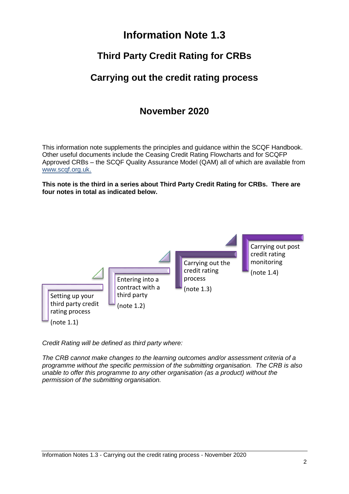#### **Information Note 1.3**

#### **Third Party Credit Rating for CRBs**

#### **Carrying out the credit rating process**

#### **November 2020**

This information note supplements the principles and guidance within the SCQF Handbook. Other useful documents include the Ceasing Credit Rating Flowcharts and for SCQFP Approved CRBs – the SCQF Quality Assurance Model (QAM) all of which are available from [www.scqf.org.uk.](http://www.scqf.org.uk/)

**This note is the third in a series about Third Party Credit Rating for CRBs. There are four notes in total as indicated below.** 



*Credit Rating will be defined as third party where:*

*The CRB cannot make changes to the learning outcomes and/or assessment criteria of a programme without the specific permission of the submitting organisation. The CRB is also unable to offer this programme to any other organisation (as a product) without the permission of the submitting organisation.*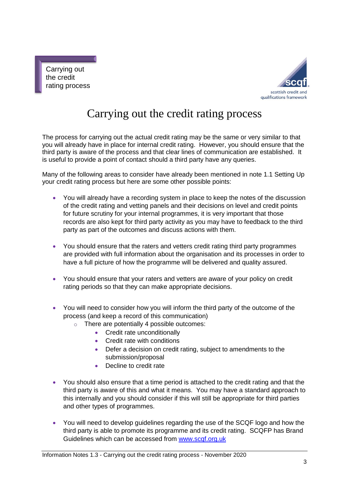Carrying out the credit rating process



### Carrying out the credit rating process

The process for carrying out the actual credit rating may be the same or very similar to that you will already have in place for internal credit rating. However, you should ensure that the third party is aware of the process and that clear lines of communication are established. It is useful to provide a point of contact should a third party have any queries.

Many of the following areas to consider have already been mentioned in note 1.1 Setting Up your credit rating process but here are some other possible points:

- You will already have a recording system in place to keep the notes of the discussion of the credit rating and vetting panels and their decisions on level and credit points for future scrutiny for your internal programmes, it is very important that those records are also kept for third party activity as you may have to feedback to the third party as part of the outcomes and discuss actions with them.
- You should ensure that the raters and vetters credit rating third party programmes are provided with full information about the organisation and its processes in order to have a full picture of how the programme will be delivered and quality assured.
- You should ensure that your raters and vetters are aware of your policy on credit rating periods so that they can make appropriate decisions.
- You will need to consider how you will inform the third party of the outcome of the process (and keep a record of this communication)
	- $\circ$  There are potentially 4 possible outcomes:
		- Credit rate unconditionally
		- Credit rate with conditions
		- Defer a decision on credit rating, subject to amendments to the submission/proposal
		- Decline to credit rate
- You should also ensure that a time period is attached to the credit rating and that the third party is aware of this and what it means. You may have a standard approach to this internally and you should consider if this will still be appropriate for third parties and other types of programmes.
- You will need to develop guidelines regarding the use of the SCQF logo and how the third party is able to promote its programme and its credit rating. SCQFP has Brand Guidelines which can be accessed from [www.scqf.org.uk](http://www.scqf.org.uk/)